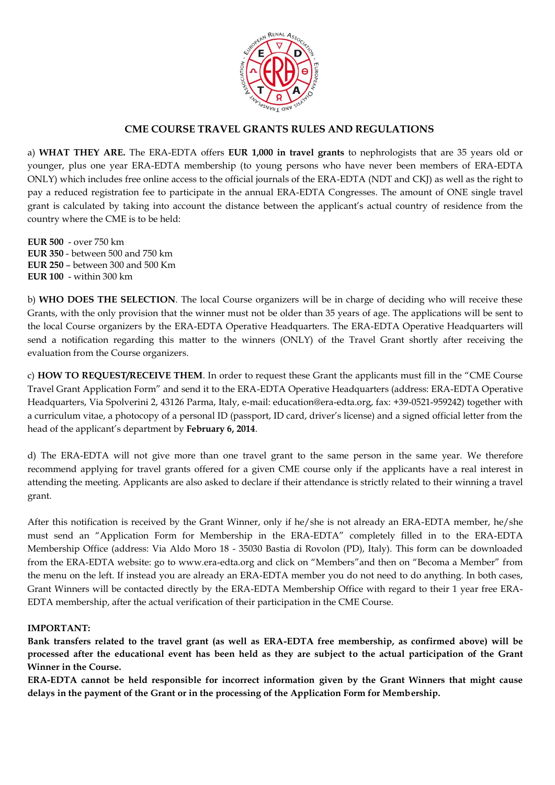

## **CME COURSE TRAVEL GRANTS RULES AND REGULATIONS**

a) **WHAT THEY ARE.** The ERA-EDTA offers **EUR 1,000 in travel grants** to nephrologists that are 35 years old or younger, plus one year ERA-EDTA membership (to young persons who have never been members of ERA-EDTA ONLY) which includes free online access to the official journals of the ERA-EDTA (NDT and CKJ) as well as the right to pay a reduced registration fee to participate in the annual ERA-EDTA Congresses. The amount of ONE single travel grant is calculated by taking into account the distance between the applicant's actual country of residence from the country where the CME is to be held:

**EUR 500** - over 750 km **EUR 350** - between 500 and 750 km **EUR 250** – between 300 and 500 Km **EUR 100** - within 300 km

b) **WHO DOES THE SELECTION**. The local Course organizers will be in charge of deciding who will receive these Grants, with the only provision that the winner must not be older than 35 years of age. The applications will be sent to the local Course organizers by the ERA-EDTA Operative Headquarters. The ERA-EDTA Operative Headquarters will send a notification regarding this matter to the winners (ONLY) of the Travel Grant shortly after receiving the evaluation from the Course organizers.

c) **HOW TO REQUEST/RECEIVE THEM**. In order to request these Grant the applicants must fill in the "CME Course Travel Grant Application Form" and send it to the ERA-EDTA Operative Headquarters (address: ERA-EDTA Operative Headquarters, Via Spolverini 2, 43126 Parma, Italy, e-mail: education@era-edta.org, fax: +39-0521-959242) together with a curriculum vitae, a photocopy of a personal ID (passport, ID card, driver's license) and a signed official letter from the head of the applicant's department by **February 6, 2014**.

d) The ERA-EDTA will not give more than one travel grant to the same person in the same year. We therefore recommend applying for travel grants offered for a given CME course only if the applicants have a real interest in attending the meeting. Applicants are also asked to declare if their attendance is strictly related to their winning a travel grant.

After this notification is received by the Grant Winner, only if he/she is not already an ERA-EDTA member, he/she must send an "Application Form for Membership in the ERA-EDTA" completely filled in to the ERA-EDTA Membership Office (address: Via Aldo Moro 18 - 35030 Bastia di Rovolon (PD), Italy). This form can be downloaded from the ERA-EDTA website: go to www.era-edta.org and click on "Members"and then on "Becoma a Member" from the menu on the left. If instead you are already an ERA-EDTA member you do not need to do anything. In both cases, Grant Winners will be contacted directly by the ERA-EDTA Membership Office with regard to their 1 year free ERA-EDTA membership, after the actual verification of their participation in the CME Course.

#### **IMPORTANT:**

**Bank transfers related to the travel grant (as well as ERA-EDTA free membership, as confirmed above) will be processed after the educational event has been held as they are subject to the actual participation of the Grant Winner in the Course.**

**ERA-EDTA cannot be held responsible for incorrect information given by the Grant Winners that might cause delays in the payment of the Grant or in the processing of the Application Form for Membership.**